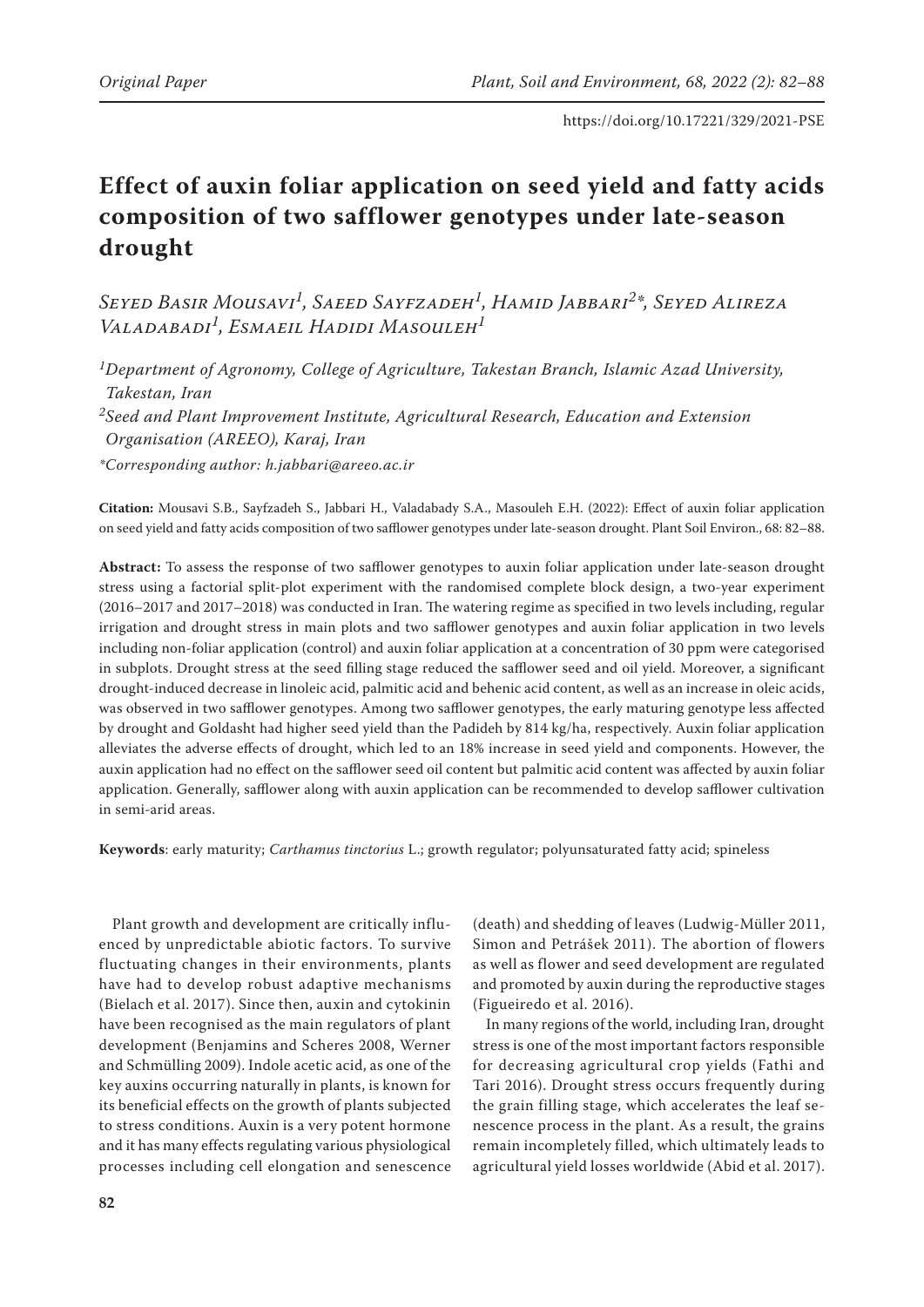# **Effect of auxin foliar application on seed yield and fatty acids composition of two safflower genotypes under late-season drought**

*Seyed Basir Mousavi1, Saeed Sayfzadeh1, Hamid Jabbari2\*, Seyed Alireza Valadabadi1, Esmaeil Hadidi Masouleh1*

*1Department of Agronomy, College of Agriculture, Takestan Branch, Islamic Azad University, Takestan, Iran*

*2Seed and Plant Improvement Institute, Agricultural Research, Education and Extension Organisation (AREEO), Karaj, Iran*

*\*Corresponding author: h.jabbari@areeo.ac.ir*

**Citation:** Mousavi S.B., Sayfzadeh S., Jabbari H., Valadabady S.A., Masouleh E.H. (2022): Effect of auxin foliar application on seed yield and fatty acids composition of two safflower genotypes under late-season drought. Plant Soil Environ., 68: 82–88.

**Abstract:** To assess the response of two safflower genotypes to auxin foliar application under late-season drought stress using a factorial split-plot experiment with the randomised complete block design, a two-year experiment (2016–2017 and 2017–2018) was conducted in Iran. The watering regime as specified in two levels including, regular irrigation and drought stress in main plots and two safflower genotypes and auxin foliar application in two levels including non-foliar application (control) and auxin foliar application at a concentration of 30 ppm were categorised in subplots. Drought stress at the seed filling stage reduced the safflower seed and oil yield. Moreover, a significant drought-induced decrease in linoleic acid, palmitic acid and behenic acid content, as well as an increase in oleic acids, was observed in two safflower genotypes. Among two safflower genotypes, the early maturing genotype less affected by drought and Goldasht had higher seed yield than the Padideh by 814 kg/ha, respectively. Auxin foliar application alleviates the adverse effects of drought, which led to an 18% increase in seed yield and components. However, the auxin application had no effect on the safflower seed oil content but palmitic acid content was affected by auxin foliar application. Generally, safflower along with auxin application can be recommended to develop safflower cultivation in semi-arid areas.

**Keywords**: early maturity; *Carthamus tinctorius* L.; growth regulator; polyunsaturated fatty acid; spineless

Plant growth and development are critically influenced by unpredictable abiotic factors. To survive fluctuating changes in their environments, plants have had to develop robust adaptive mechanisms (Bielach et al. 2017). Since then, auxin and cytokinin have been recognised as the main regulators of plant development (Benjamins and Scheres 2008, Werner and Schmülling 2009). Indole acetic acid, as one of the key auxins occurring naturally in plants, is known for its beneficial effects on the growth of plants subjected to stress conditions. Auxin is a very potent hormone and it has many effects regulating various physiological processes including cell elongation and senescence

(death) and shedding of leaves (Ludwig-Müller 2011, Simon and Petrášek 2011). The abortion of flowers as well as flower and seed development are regulated and promoted by auxin during the reproductive stages (Figueiredo et al. 2016).

In many regions of the world, including Iran, drought stress is one of the most important factors responsible for decreasing agricultural crop yields (Fathi and Tari 2016). Drought stress occurs frequently during the grain filling stage, which accelerates the leaf senescence process in the plant. As a result, the grains remain incompletely filled, which ultimately leads to agricultural yield losses worldwide (Abid et al. 2017).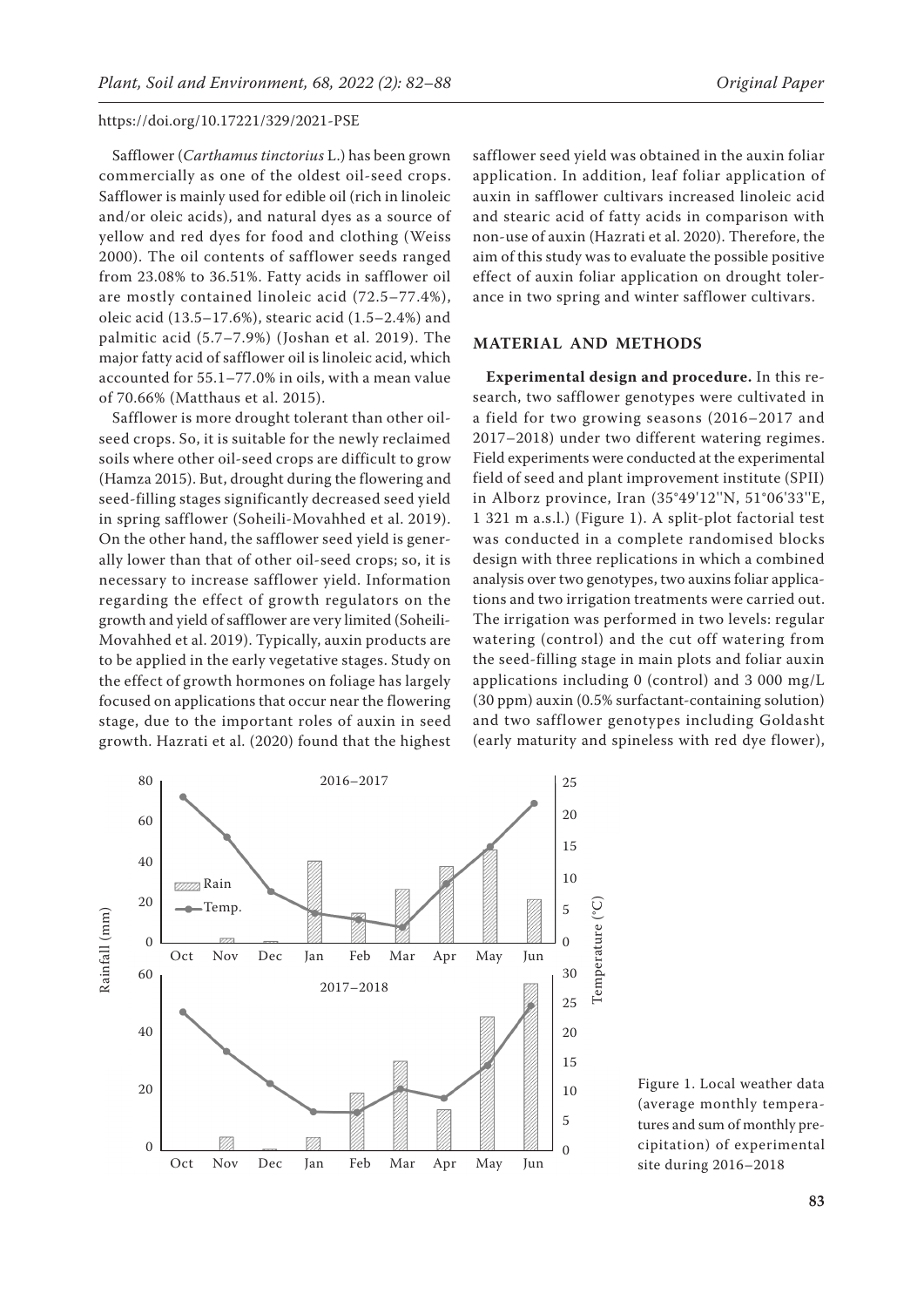Safflower (*Carthamus tinctorius* L.) has been grown commercially as one of the oldest oil-seed crops. Safflower is mainly used for edible oil (rich in linoleic and/or oleic acids), and natural dyes as a source of yellow and red dyes for food and clothing (Weiss 2000). The oil contents of safflower seeds ranged from 23.08% to 36.51%. Fatty acids in safflower oil are mostly contained linoleic acid (72.5–77.4%), oleic acid (13.5–17.6%), stearic acid (1.5–2.4%) and palmitic acid (5.7–7.9%) (Joshan et al. 2019). The major fatty acid of safflower oil is linoleic acid, which accounted for 55.1–77.0% in oils, with a mean value of 70.66% (Matthaus et al. 2015).

Safflower is more drought tolerant than other oilseed crops. So, it is suitable for the newly reclaimed soils where other oil-seed crops are difficult to grow (Hamza 2015). But, drought during the flowering and seed-filling stages significantly decreased seed yield in spring safflower (Soheili-Movahhed et al. 2019). On the other hand, the safflower seed yield is generally lower than that of other oil-seed crops; so, it is necessary to increase safflower yield. Information regarding the effect of growth regulators on the growth and yield of safflower are very limited (Soheili-Movahhed et al. 2019). Typically, auxin products are to be applied in the early vegetative stages. Study on the effect of growth hormones on foliage has largely focused on applications that occur near the flowering stage, due to the important roles of auxin in seed growth. Hazrati et al. (2020) found that the highest

safflower seed yield was obtained in the auxin foliar application. In addition, leaf foliar application of auxin in safflower cultivars increased linoleic acid and stearic acid of fatty acids in comparison with non-use of auxin (Hazrati et al. 2020). Therefore, the aim of this study was to evaluate the possible positive effect of auxin foliar application on drought tolerance in two spring and winter safflower cultivars.

#### **MATERIAL AND METHODS**

**Experimental design and procedure.** In this research, two safflower genotypes were cultivated in a field for two growing seasons (2016–2017 and 2017–2018) under two different watering regimes. Field experiments were conducted at the experimental field of seed and plant improvement institute (SPII) in Alborz province, Iran (35°49'12''N, 51°06'33''E, 1 321 m a.s.l.) (Figure 1). A split-plot factorial test was conducted in a complete randomised blocks design with three replications in which a combined analysis over two genotypes, two auxins foliar applications and two irrigation treatments were carried out. The irrigation was performed in two levels: regular watering (control) and the cut off watering from the seed-filling stage in main plots and foliar auxin applications including 0 (control) and 3 000 mg/L (30 ppm) auxin (0.5% surfactant-containing solution) and two safflower genotypes including Goldasht (early maturity and spineless with red dye flower),



Figure 1. Local weather data (average monthly temperatures and sum of monthly precipitation) of experimental site during 2016–2018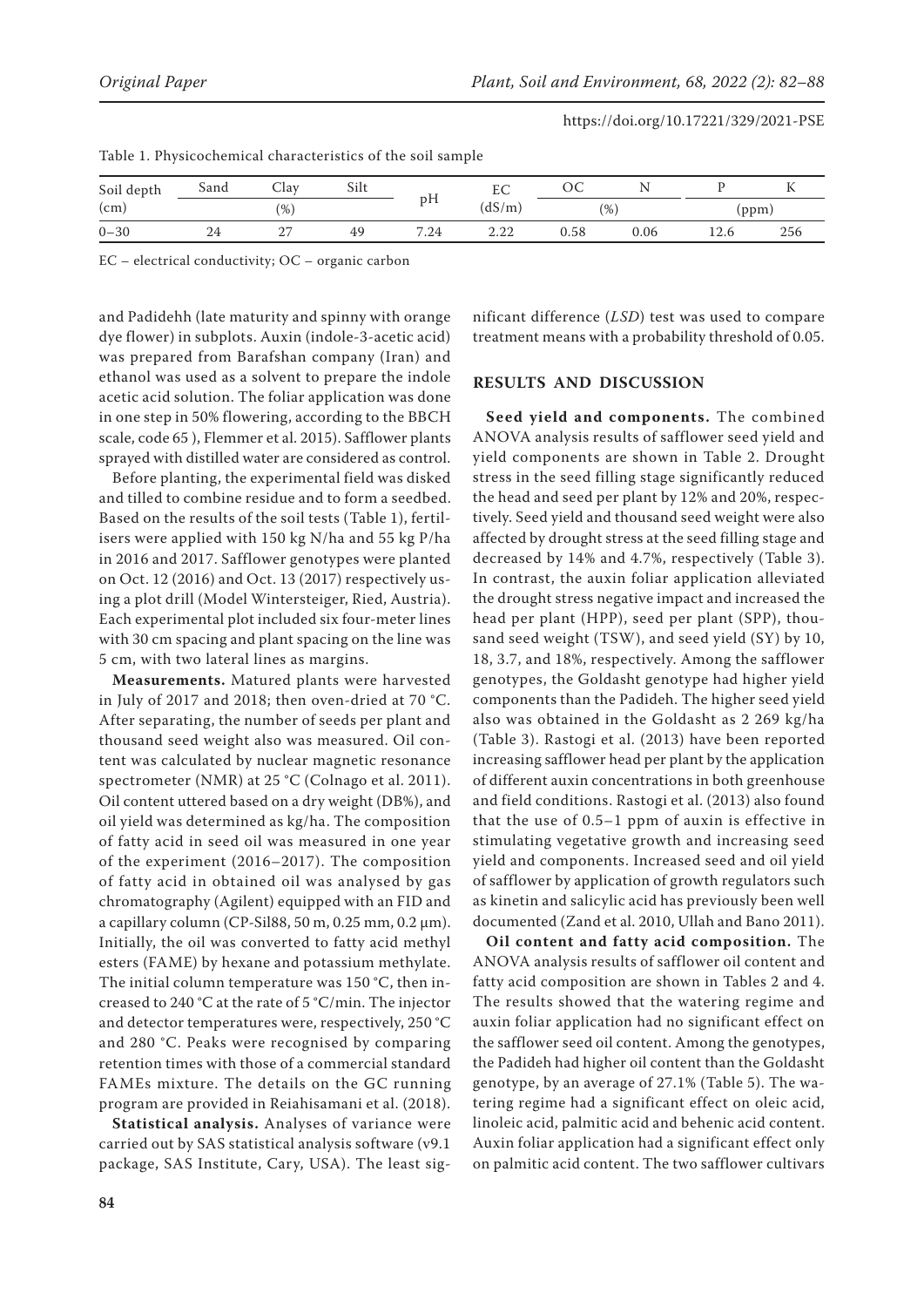| Soil depth<br>(cm) | Sand | Silt<br>$\cup$ lav |    |      | LU.          | UU   |      |       |     |  |
|--------------------|------|--------------------|----|------|--------------|------|------|-------|-----|--|
|                    |      | $\frac{1}{6}$      |    | pН   | (dS/m)       | (% ) |      | (ppm) |     |  |
| $0 - 30$           | 24   | $\sim$<br>. .      | 49 | 7.24 | റ ററ<br>4.44 | 0.58 | 0.06 | 12.6  | 256 |  |

Table 1. Physicochemical characteristics of the soil sample

EC – electrical conductivity; OC – organic carbon

and Padidehh (late maturity and spinny with orange dye flower) in subplots. Auxin (indole-3-acetic acid) was prepared from Barafshan company (Iran) and ethanol was used as a solvent to prepare the indole acetic acid solution. The foliar application was done in one step in 50% flowering, according to the BBCH scale, code 65 ), Flemmer et al. 2015). Safflower plants sprayed with distilled water are considered as control.

Before planting, the experimental field was disked and tilled to combine residue and to form a seedbed. Based on the results of the soil tests (Table 1), fertilisers were applied with 150 kg N/ha and 55 kg P/ha in 2016 and 2017. Safflower genotypes were planted on Oct. 12 (2016) and Oct. 13 (2017) respectively using a plot drill (Model Wintersteiger, Ried, Austria). Each experimental plot included six four-meter lines with 30 cm spacing and plant spacing on the line was 5 cm, with two lateral lines as margins.

**Measurements.** Matured plants were harvested in July of 2017 and 2018; then oven-dried at 70 °C. After separating, the number of seeds per plant and thousand seed weight also was measured. Oil content was calculated by nuclear magnetic resonance spectrometer (NMR) at 25 °C (Colnago et al. 2011). Oil content uttered based on a dry weight (DB%), and oil yield was determined as kg/ha. The composition of fatty acid in seed oil was measured in one year of the experiment (2016–2017). The composition of fatty acid in obtained oil was analysed by gas chromatography (Agilent) equipped with an FID and a capillary column (CP-Sil88, 50 m, 0.25 mm, 0.2  $\mu$ m). Initially, the oil was converted to fatty acid methyl esters (FAME) by hexane and potassium methylate. The initial column temperature was 150 °C, then increased to 240 °C at the rate of 5 °C/min. The injector and detector temperatures were, respectively, 250 °C and 280 °C. Peaks were recognised by comparing retention times with those of a commercial standard FAMEs mixture. The details on the GC running program are provided in Reiahisamani et al. (2018).

**Statistical analysis.** Analyses of variance were carried out by SAS statistical analysis software (v9.1 package, SAS Institute, Cary, USA). The least sig-

nificant difference (*LSD*) test was used to compare treatment means with a probability threshold of 0.05.

# **RESULTS AND DISCUSSION**

**Seed yield and components.** The combined ANOVA analysis results of safflower seed yield and yield components are shown in Table 2. Drought stress in the seed filling stage significantly reduced the head and seed per plant by 12% and 20%, respectively. Seed yield and thousand seed weight were also affected by drought stress at the seed filling stage and decreased by 14% and 4.7%, respectively (Table 3). In contrast, the auxin foliar application alleviated the drought stress negative impact and increased the head per plant (HPP), seed per plant (SPP), thousand seed weight (TSW), and seed yield (SY) by 10, 18, 3.7, and 18%, respectively. Among the safflower genotypes, the Goldasht genotype had higher yield components than the Padideh. The higher seed yield also was obtained in the Goldasht as 2 269 kg/ha (Table 3). Rastogi et al. (2013) have been reported increasing safflower head per plant by the application of different auxin concentrations in both greenhouse and field conditions. Rastogi et al. (2013) also found that the use of 0.5–1 ppm of auxin is effective in stimulating vegetative growth and increasing seed yield and components. Increased seed and oil yield of safflower by application of growth regulators such as kinetin and salicylic acid has previously been well documented (Zand et al. 2010, Ullah and Bano 2011).

**Oil content and fatty acid composition.** The ANOVA analysis results of safflower oil content and fatty acid composition are shown in Tables 2 and 4. The results showed that the watering regime and auxin foliar application had no significant effect on the safflower seed oil content. Among the genotypes, the Padideh had higher oil content than the Goldasht genotype, by an average of 27.1% (Table 5). The watering regime had a significant effect on oleic acid, linoleic acid, palmitic acid and behenic acid content. Auxin foliar application had a significant effect only on palmitic acid content. The two safflower cultivars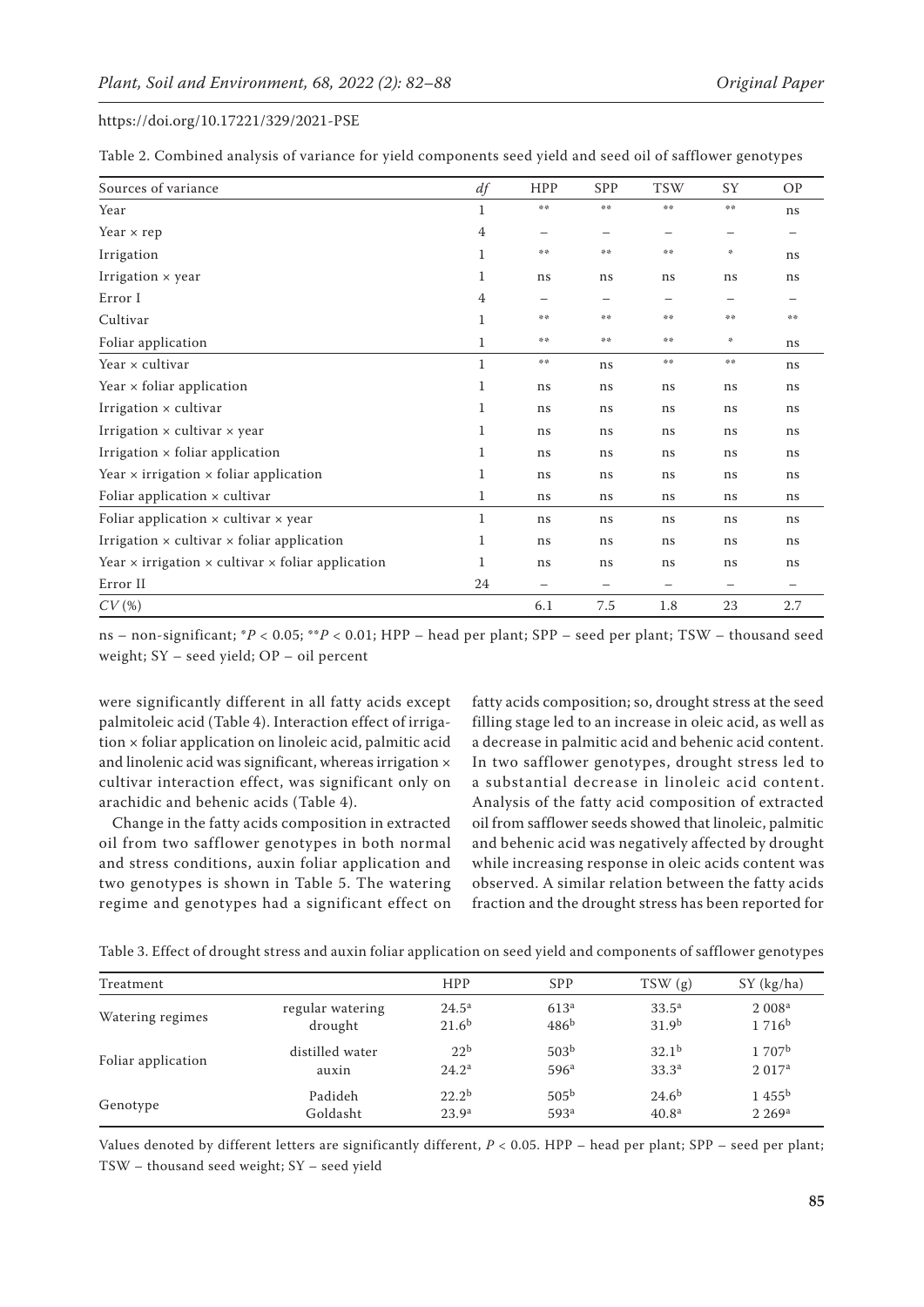Table 2. Combined analysis of variance for yield components seed yield and seed oil of safflower genotypes

| Sources of variance                                                    | df           | HPP              | SPP                      | <b>TSW</b> | SY | <b>OP</b> |
|------------------------------------------------------------------------|--------------|------------------|--------------------------|------------|----|-----------|
| Year                                                                   | 1            | $\ddot{\approx}$ | $\pm$ $\pm$              | 染染         | 染染 | ns        |
| Year $\times$ rep                                                      | 4            |                  |                          |            |    |           |
| Irrigation                                                             | 1            | 染染               | 染染                       | 染染         | 米  | ns        |
| Irrigation $\times$ year                                               | 1            | ns               | ns                       | ns         | ns | ns        |
| Error I                                                                | 4            |                  | $\overline{\phantom{0}}$ |            | —  |           |
| Cultivar                                                               | 1            | 染染               | 染染                       | 染染         | 染染 | 染染        |
| Foliar application                                                     | 1            | 染染               | 染染                       | 染染         | 永  | ns        |
| Year x cultivar                                                        | $\mathbf{1}$ | 非法               | ns                       | 染染         | 染染 | ns        |
| Year $\times$ foliar application                                       | 1            | ns               | ns                       | ns         | ns | ns        |
| Irrigation × cultivar                                                  | 1            | ns               | ns                       | ns         | ns | ns        |
| Irrigation $\times$ cultivar $\times$ year                             | 1            | ns               | ns                       | ns         | ns | ns        |
| Irrigation $\times$ foliar application                                 | 1            | ns               | ns                       | ns         | ns | ns        |
| Year $\times$ irrigation $\times$ foliar application                   | 1            | ns               | ns                       | ns         | ns | ns        |
| Foliar application $\times$ cultivar                                   | 1            | ns               | ns                       | ns         | ns | ns        |
| Foliar application $\times$ cultivar $\times$ year                     | 1            | ns               | ns                       | ns         | ns | ns        |
| Irrigation $\times$ cultivar $\times$ foliar application               | 1            | ns               | ns                       | ns         | ns | ns        |
| Year $\times$ irrigation $\times$ cultivar $\times$ foliar application | 1            | ns               | ns                       | ns         | ns | ns        |
| Error II                                                               | 24           | —                | —                        |            | —  |           |
| CV(%)                                                                  |              | 6.1              | 7.5                      | 1.8        | 23 | 2.7       |

ns – non-significant; \**P* < 0.05; \*\**P* < 0.01; HPP – head per plant; SPP – seed per plant; TSW – thousand seed weight; SY – seed yield; OP – oil percent

were significantly different in all fatty acids except palmitoleic acid (Table 4). Interaction effect of irrigation × foliar application on linoleic acid, palmitic acid and linolenic acid was significant, whereas irrigation × cultivar interaction effect, was significant only on arachidic and behenic acids (Table 4).

Change in the fatty acids composition in extracted oil from two safflower genotypes in both normal and stress conditions, auxin foliar application and two genotypes is shown in Table 5. The watering regime and genotypes had a significant effect on fatty acids composition; so, drought stress at the seed filling stage led to an increase in oleic acid, as well as a decrease in palmitic acid and behenic acid content. In two safflower genotypes, drought stress led to a substantial decrease in linoleic acid content. Analysis of the fatty acid composition of extracted oil from safflower seeds showed that linoleic, palmitic and behenic acid was negatively affected by drought while increasing response in oleic acids content was observed. A similar relation between the fatty acids fraction and the drought stress has been reported for

| Treatment          |                  | <b>HPP</b>        | <b>SPP</b>       |                   |                    |
|--------------------|------------------|-------------------|------------------|-------------------|--------------------|
|                    |                  |                   |                  | TSW(g)            | SY (kg/ha)         |
| Watering regimes   | regular watering | $24.5^{\rm a}$    | 613 <sup>a</sup> | $33.5^{\rm a}$    | 2008 <sup>a</sup>  |
|                    | drought          | 21.6 <sup>b</sup> | 486 <sup>b</sup> | 31.9 <sup>b</sup> | $1716^b$           |
| Foliar application | distilled water  | 22 <sup>b</sup>   | 503 <sup>b</sup> | 32.1 <sup>b</sup> | 1707 <sup>b</sup>  |
|                    | auxin            | $24.2^{\rm a}$    | 596 <sup>a</sup> | 33.3 <sup>a</sup> | 2.017 <sup>a</sup> |
| Genotype           | Padideh          | $22.2^{b}$        | 505 <sup>b</sup> | $24.6^{b}$        | 1.455 <sup>b</sup> |
|                    | Goldasht         | 23.9 <sup>a</sup> | 593 <sup>a</sup> | 40.8 <sup>a</sup> | 2.269 <sup>a</sup> |

Values denoted by different letters are significantly different, *P* < 0.05. HPP – head per plant; SPP – seed per plant; TSW – thousand seed weight; SY – seed yield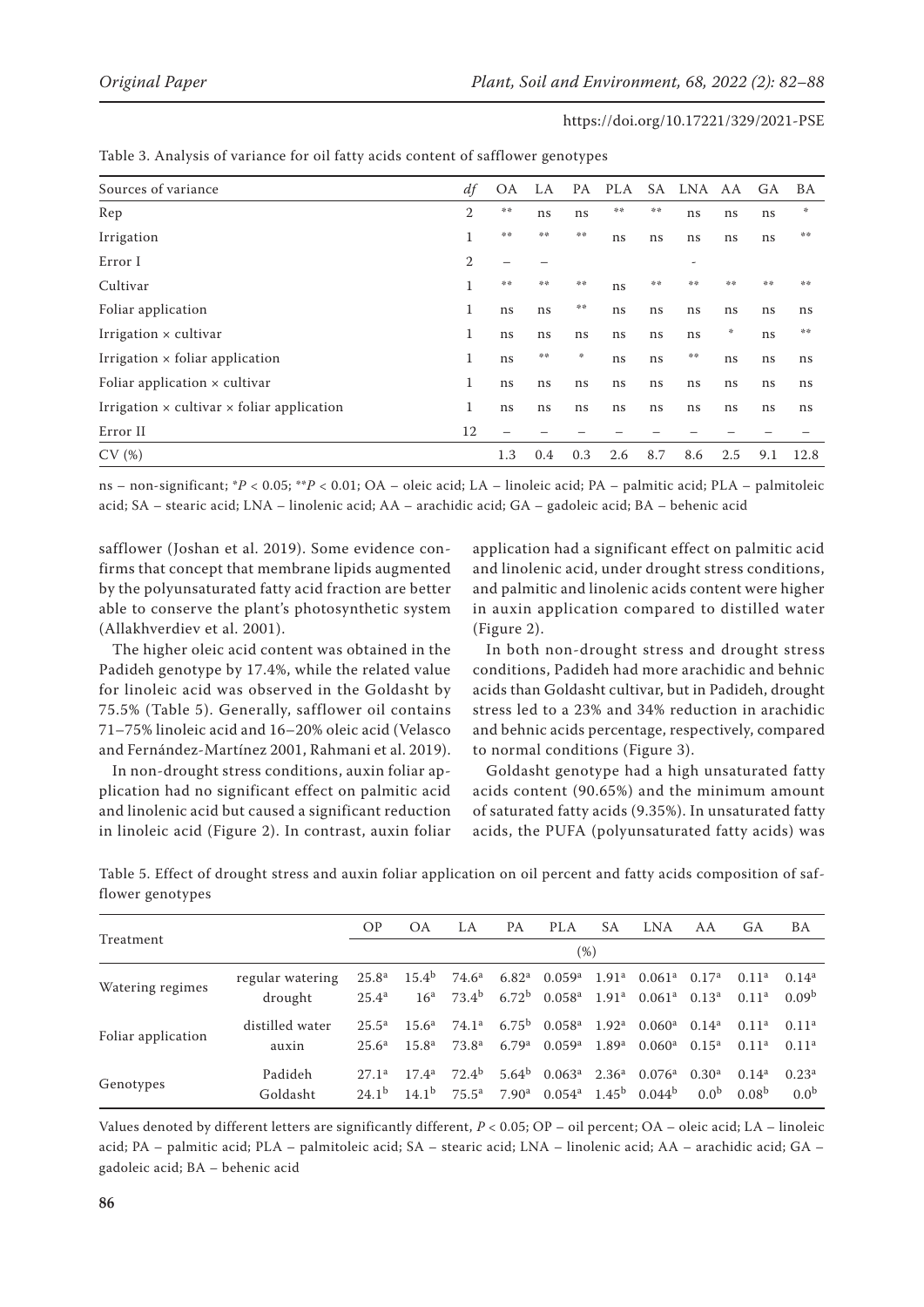| Sources of variance                                      | df          | <b>OA</b>                | LA  | PA  | PLA | SA  | LNA | AA  | GA. | <b>BA</b> |
|----------------------------------------------------------|-------------|--------------------------|-----|-----|-----|-----|-----|-----|-----|-----------|
| Rep                                                      | 2           | 染染                       | ns  | ns  | 染染  | 染染  | ns  | ns  | ns  | *         |
| Irrigation                                               | 1           | 染染                       | 染染  | 染染  | ns  | ns  | ns  | ns  | ns  | 染染        |
| Error I                                                  | 2           | $\overline{\phantom{m}}$ | -   |     |     |     | -   |     |     |           |
| Cultivar                                                 | $\mathbf 1$ | 染染                       | 染染  | 染染  | ns  | 染染  | 染染  | 染染  | 操作  | 操作        |
| Foliar application                                       | 1           | ns                       | ns  | 普季  | ns  | ns  | ns  | ns  | ns  | ns        |
| Irrigation $\times$ cultivar                             | 1           | ns                       | ns  | ns  | ns  | ns  | ns  | 永   | ns  | 染染        |
| Irrigation $\times$ foliar application                   | 1           | ns                       | 染染  | 贵   | ns  | ns  | 苦苦  | ns  | ns  | ns        |
| Foliar application $\times$ cultivar                     | 1           | ns                       | ns  | ns  | ns  | ns  | ns  | ns  | ns  | ns        |
| Irrigation $\times$ cultivar $\times$ foliar application | 1           | ns                       | ns  | ns  | ns  | ns  | ns  | ns  | ns  | ns        |
| Error II                                                 | 12          | $\overline{\phantom{0}}$ |     |     |     |     |     |     |     |           |
| CV(%)                                                    |             | 1.3                      | 0.4 | 0.3 | 2.6 | 8.7 | 8.6 | 2.5 | 9.1 | 12.8      |

#### Table 3. Analysis of variance for oil fatty acids content of safflower genotypes

ns – non-significant; \**P* < 0.05; \*\**P* < 0.01; OA – oleic acid; LA – linoleic acid; PA – palmitic acid; PLA – palmitoleic acid; SA – stearic acid; LNA – linolenic acid; AA – arachidic acid; GA – gadoleic acid; BA – behenic acid

safflower (Joshan et al. 2019). Some evidence confirms that concept that membrane lipids augmented by the polyunsaturated fatty acid fraction are better able to conserve the plant's photosynthetic system (Allakhverdiev et al. 2001).

The higher oleic acid content was obtained in the Padideh genotype by 17.4%, while the related value for linoleic acid was observed in the Goldasht by 75.5% (Table 5). Generally, safflower oil contains 71–75% linoleic acid and 16–20% oleic acid (Velasco and Fernández-Martínez 2001, Rahmani et al. 2019).

In non-drought stress conditions, auxin foliar application had no significant effect on palmitic acid and linolenic acid but caused a significant reduction in linoleic acid (Figure 2). In contrast, auxin foliar application had a significant effect on palmitic acid and linolenic acid, under drought stress conditions, and palmitic and linolenic acids content were higher in auxin application compared to distilled water (Figure 2).

In both non-drought stress and drought stress conditions, Padideh had more arachidic and behnic acids than Goldasht cultivar, but in Padideh, drought stress led to a 23% and 34% reduction in arachidic and behnic acids percentage, respectively, compared to normal conditions (Figure 3).

Goldasht genotype had a high unsaturated fatty acids content (90.65%) and the minimum amount of saturated fatty acids (9.35%). In unsaturated fatty acids, the PUFA (polyunsaturated fatty acids) was

|                    |                             | <b>OP</b>                              | OA                                   | LA                                     | PA                                     | <b>PLA</b>                                                | SА                | <b>LNA</b>                                                                                                                                                     | AA                                 | GА                                     | BA                                     |
|--------------------|-----------------------------|----------------------------------------|--------------------------------------|----------------------------------------|----------------------------------------|-----------------------------------------------------------|-------------------|----------------------------------------------------------------------------------------------------------------------------------------------------------------|------------------------------------|----------------------------------------|----------------------------------------|
| Treatment          |                             | (%)                                    |                                      |                                        |                                        |                                                           |                   |                                                                                                                                                                |                                    |                                        |                                        |
| Watering regimes   | regular watering<br>drought | $25.8^{\rm a}$<br>$25.4^{\rm a}$       | 15.4 <sup>b</sup><br>16 <sup>a</sup> | $73.4^{\rm b}$                         |                                        | 6.72 <sup>b</sup> 0.058 <sup>a</sup>                      |                   | 74.6 <sup>a</sup> 6.82 <sup>a</sup> 0.059 <sup>a</sup> 1.91 <sup>a</sup> 0.061 <sup>a</sup> 0.17 <sup>a</sup><br>$1.91^a$ 0.061 <sup>a</sup> 0.13 <sup>a</sup> |                                    | $0.11^{\rm a}$<br>0.11 <sup>a</sup>    | $0.14^{a}$<br>0.09 <sup>b</sup>        |
| Foliar application | distilled water<br>auxin    | $25.5^{\rm a}$<br>$25.6^{\rm a}$       | 15.6 <sup>a</sup><br>$15.8^{a}$      | 74.1 <sup>a</sup><br>73.8 <sup>a</sup> | 6.79 <sup>a</sup>                      | $6.75^{\rm b}$ 0.058 <sup>a</sup><br>$0.059$ <sup>a</sup> | 1.89 <sup>a</sup> | $1.92^a$ 0.060 <sup>a</sup> 0.14 <sup>a</sup><br>$0.060^{\rm a}$                                                                                               | $0.15^{\rm a}$                     | 0.11 <sup>a</sup><br>0.11 <sup>a</sup> | 0.11 <sup>a</sup><br>0.11 <sup>a</sup> |
| Genotypes          | Padideh<br>Goldasht         | 27.1 <sup>a</sup><br>24.1 <sup>b</sup> | $17.4^a$<br>$14.1^{b}$               | $72.4^b$<br>$75.5^{\rm a}$             | 5.64 <sup>b</sup><br>7.90 <sup>a</sup> | $0.063^{\rm a}$<br>0.054 <sup>a</sup>                     | 2.36 <sup>a</sup> | $0.076^{\rm a}$<br>$1.45^{\rm b}$ 0.044 <sup>b</sup>                                                                                                           | $0.30^{\rm a}$<br>0.0 <sup>b</sup> | $0.14^{a}$<br>0.08 <sup>b</sup>        | 0.23 <sup>a</sup><br>0.0 <sup>b</sup>  |

Table 5. Effect of drought stress and auxin foliar application on oil percent and fatty acids composition of safflower genotypes

Values denoted by different letters are significantly different, *P* < 0.05; OP – oil percent; OA – oleic acid; LA – linoleic acid; PA – palmitic acid; PLA – palmitoleic acid; SA – stearic acid; LNA – linolenic acid; AA – arachidic acid; GA – gadoleic acid; BA – behenic acid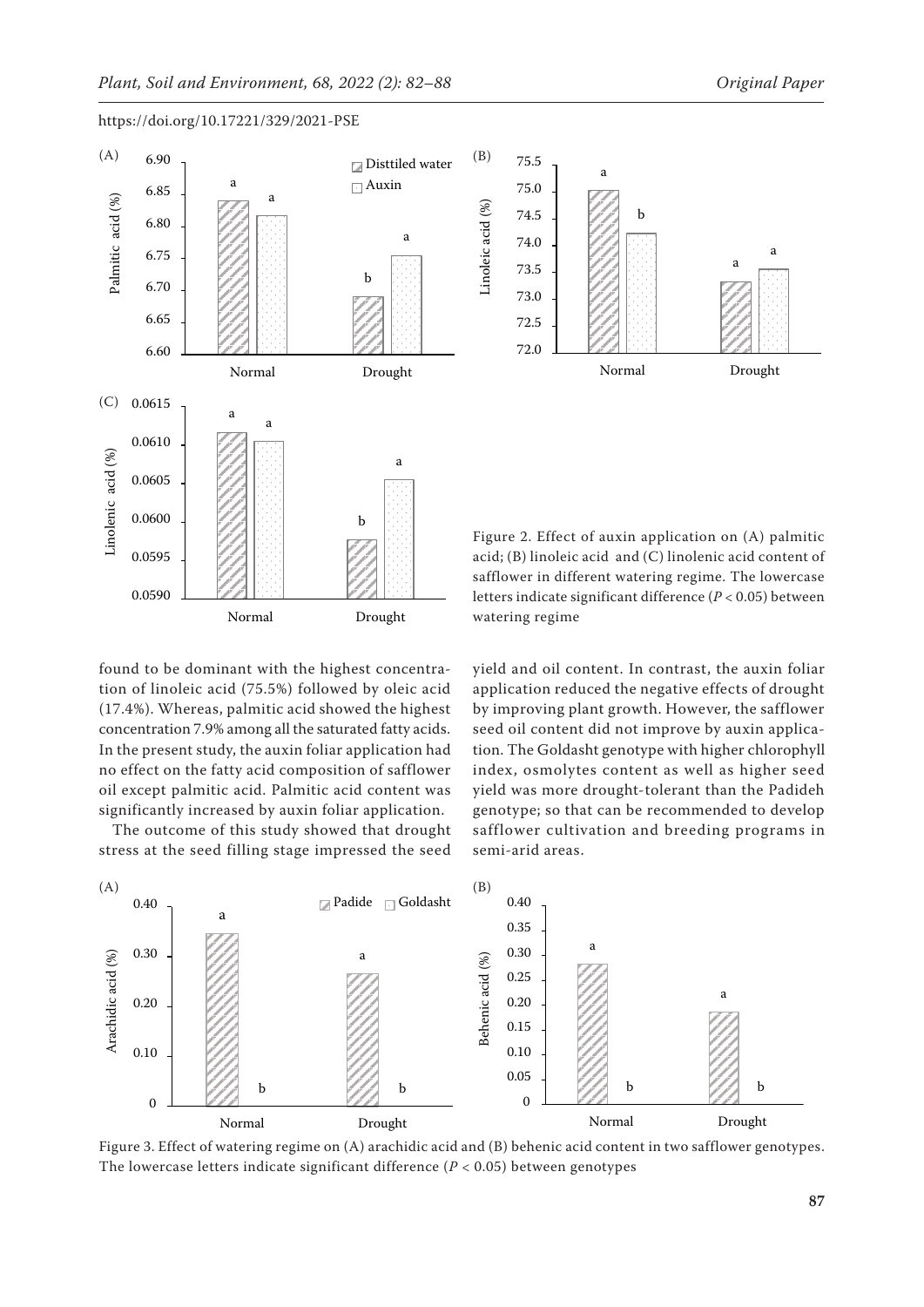



Normal Drought

Figure 2. Effect of auxin application on (A) palmitic acid; (B) linoleic acid and (C) linolenic acid content of safflower in different watering regime. The lowercase letters indicate significant difference (*P* < 0.05) between watering regime

found to be dominant with the highest concentration of linoleic acid (75.5%) followed by oleic acid (17.4%). Whereas, palmitic acid showed the highest concentration 7.9% among all the saturated fatty acids. In the present study, the auxin foliar application had no effect on the fatty acid composition of safflower oil except palmitic acid. Palmitic acid content was significantly increased by auxin foliar application.

The outcome of this study showed that drought stress at the seed filling stage impressed the seed yield and oil content. In contrast, the auxin foliar application reduced the negative effects of drought by improving plant growth. However, the safflower seed oil content did not improve by auxin application. The Goldasht genotype with higher chlorophyll index, osmolytes content as well as higher seed yield was more drought-tolerant than the Padideh genotype; so that can be recommended to develop safflower cultivation and breeding programs in semi-arid areas.



Figure 3. Effect of watering regime on (A) arachidic acid and (B) behenic acid content in two safflower genotypes. The lowercase letters indicate significant difference (*P* < 0.05) between genotypes